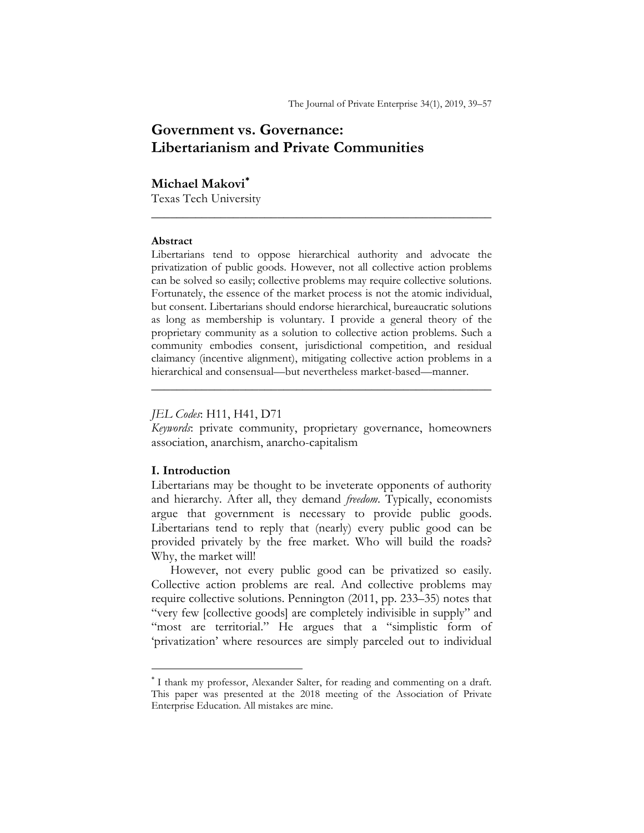# Government vs. Governance: Libertarianism and Private Communities

# Michael Makovi

Texas Tech University

#### Abstract

Libertarians tend to oppose hierarchical authority and advocate the privatization of public goods. However, not all collective action problems can be solved so easily; collective problems may require collective solutions. Fortunately, the essence of the market process is not the atomic individual, but consent. Libertarians should endorse hierarchical, bureaucratic solutions as long as membership is voluntary. I provide a general theory of the proprietary community as a solution to collective action problems. Such a community embodies consent, jurisdictional competition, and residual claimancy (incentive alignment), mitigating collective action problems in a hierarchical and consensual—but nevertheless market-based—manner.

 $\frac{1}{2}$  ,  $\frac{1}{2}$  ,  $\frac{1}{2}$  ,  $\frac{1}{2}$  ,  $\frac{1}{2}$  ,  $\frac{1}{2}$  ,  $\frac{1}{2}$  ,  $\frac{1}{2}$  ,  $\frac{1}{2}$  ,  $\frac{1}{2}$  ,  $\frac{1}{2}$  ,  $\frac{1}{2}$  ,  $\frac{1}{2}$  ,  $\frac{1}{2}$  ,  $\frac{1}{2}$  ,  $\frac{1}{2}$  ,  $\frac{1}{2}$  ,  $\frac{1}{2}$  ,  $\frac{1$ 

## JEL Codes: H11, H41, D71

Keywords: private community, proprietary governance, homeowners association, anarchism, anarcho-capitalism

 $\frac{1}{2}$  ,  $\frac{1}{2}$  ,  $\frac{1}{2}$  ,  $\frac{1}{2}$  ,  $\frac{1}{2}$  ,  $\frac{1}{2}$  ,  $\frac{1}{2}$  ,  $\frac{1}{2}$  ,  $\frac{1}{2}$  ,  $\frac{1}{2}$  ,  $\frac{1}{2}$  ,  $\frac{1}{2}$  ,  $\frac{1}{2}$  ,  $\frac{1}{2}$  ,  $\frac{1}{2}$  ,  $\frac{1}{2}$  ,  $\frac{1}{2}$  ,  $\frac{1}{2}$  ,  $\frac{1$ 

## I. Introduction

 $\overline{a}$ 

Libertarians may be thought to be inveterate opponents of authority and hierarchy. After all, they demand freedom. Typically, economists argue that government is necessary to provide public goods. Libertarians tend to reply that (nearly) every public good can be provided privately by the free market. Who will build the roads? Why, the market will!

However, not every public good can be privatized so easily. Collective action problems are real. And collective problems may require collective solutions. Pennington (2011, pp. 233–35) notes that "very few [collective goods] are completely indivisible in supply" and "most are territorial." He argues that a "simplistic form of 'privatization' where resources are simply parceled out to individual

I thank my professor, Alexander Salter, for reading and commenting on a draft. This paper was presented at the 2018 meeting of the Association of Private Enterprise Education. All mistakes are mine.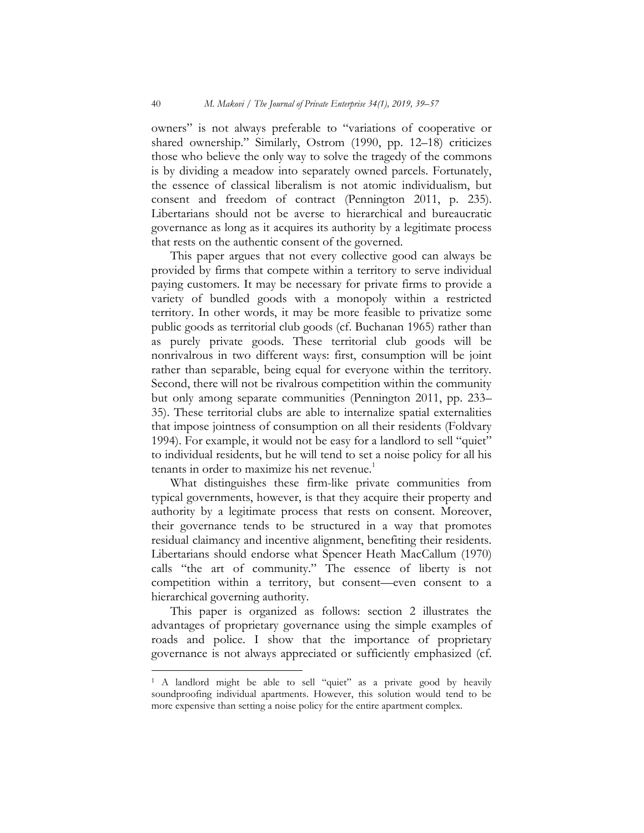owners" is not always preferable to "variations of cooperative or shared ownership." Similarly, Ostrom (1990, pp. 12–18) criticizes those who believe the only way to solve the tragedy of the commons is by dividing a meadow into separately owned parcels. Fortunately, the essence of classical liberalism is not atomic individualism, but consent and freedom of contract (Pennington 2011, p. 235). Libertarians should not be averse to hierarchical and bureaucratic governance as long as it acquires its authority by a legitimate process that rests on the authentic consent of the governed.

This paper argues that not every collective good can always be provided by firms that compete within a territory to serve individual paying customers. It may be necessary for private firms to provide a variety of bundled goods with a monopoly within a restricted territory. In other words, it may be more feasible to privatize some public goods as territorial club goods (cf. Buchanan 1965) rather than as purely private goods. These territorial club goods will be nonrivalrous in two different ways: first, consumption will be joint rather than separable, being equal for everyone within the territory. Second, there will not be rivalrous competition within the community but only among separate communities (Pennington 2011, pp. 233– 35). These territorial clubs are able to internalize spatial externalities that impose jointness of consumption on all their residents (Foldvary 1994). For example, it would not be easy for a landlord to sell "quiet" to individual residents, but he will tend to set a noise policy for all his tenants in order to maximize his net revenue.<sup>1</sup>

What distinguishes these firm-like private communities from typical governments, however, is that they acquire their property and authority by a legitimate process that rests on consent. Moreover, their governance tends to be structured in a way that promotes residual claimancy and incentive alignment, benefiting their residents. Libertarians should endorse what Spencer Heath MacCallum (1970) calls "the art of community." The essence of liberty is not competition within a territory, but consent—even consent to a hierarchical governing authority.

This paper is organized as follows: section 2 illustrates the advantages of proprietary governance using the simple examples of roads and police. I show that the importance of proprietary governance is not always appreciated or sufficiently emphasized (cf.

 $\overline{a}$ 

<sup>&</sup>lt;sup>1</sup> A landlord might be able to sell "quiet" as a private good by heavily soundproofing individual apartments. However, this solution would tend to be more expensive than setting a noise policy for the entire apartment complex.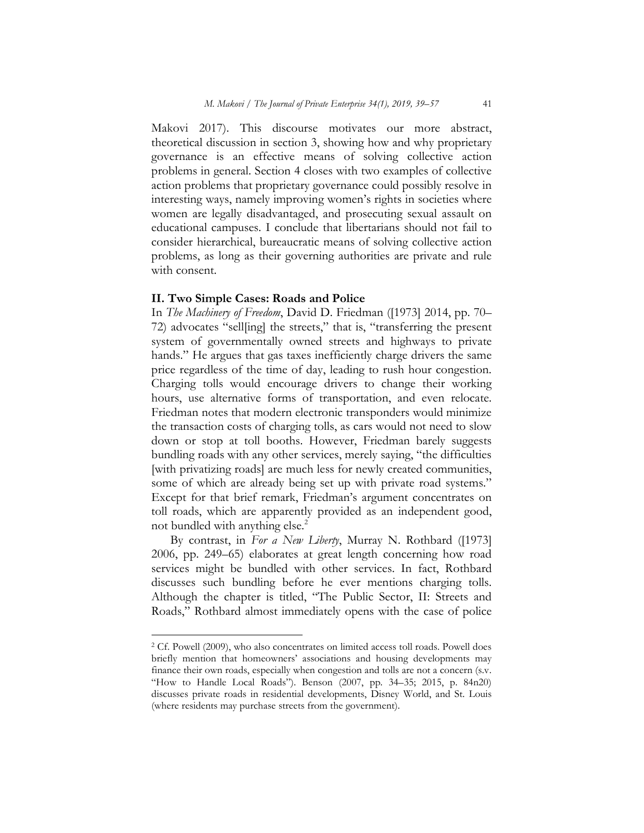Makovi 2017). This discourse motivates our more abstract, theoretical discussion in section 3, showing how and why proprietary governance is an effective means of solving collective action problems in general. Section 4 closes with two examples of collective action problems that proprietary governance could possibly resolve in interesting ways, namely improving women's rights in societies where women are legally disadvantaged, and prosecuting sexual assault on educational campuses. I conclude that libertarians should not fail to consider hierarchical, bureaucratic means of solving collective action problems, as long as their governing authorities are private and rule with consent.

#### II. Two Simple Cases: Roads and Police

 $\overline{a}$ 

In The Machinery of Freedom, David D. Friedman ([1973] 2014, pp. 70– 72) advocates "sell[ing] the streets," that is, "transferring the present system of governmentally owned streets and highways to private hands." He argues that gas taxes inefficiently charge drivers the same price regardless of the time of day, leading to rush hour congestion. Charging tolls would encourage drivers to change their working hours, use alternative forms of transportation, and even relocate. Friedman notes that modern electronic transponders would minimize the transaction costs of charging tolls, as cars would not need to slow down or stop at toll booths. However, Friedman barely suggests bundling roads with any other services, merely saying, "the difficulties [with privatizing roads] are much less for newly created communities, some of which are already being set up with private road systems." Except for that brief remark, Friedman's argument concentrates on toll roads, which are apparently provided as an independent good, not bundled with anything else.<sup>2</sup>

By contrast, in For a New Liberty, Murray N. Rothbard ([1973] 2006, pp. 249–65) elaborates at great length concerning how road services might be bundled with other services. In fact, Rothbard discusses such bundling before he ever mentions charging tolls. Although the chapter is titled, "The Public Sector, II: Streets and Roads," Rothbard almost immediately opens with the case of police

<sup>2</sup> Cf. Powell (2009), who also concentrates on limited access toll roads. Powell does briefly mention that homeowners' associations and housing developments may finance their own roads, especially when congestion and tolls are not a concern (s.v. "How to Handle Local Roads"). Benson (2007, pp. 34–35; 2015, p. 84n20) discusses private roads in residential developments, Disney World, and St. Louis (where residents may purchase streets from the government).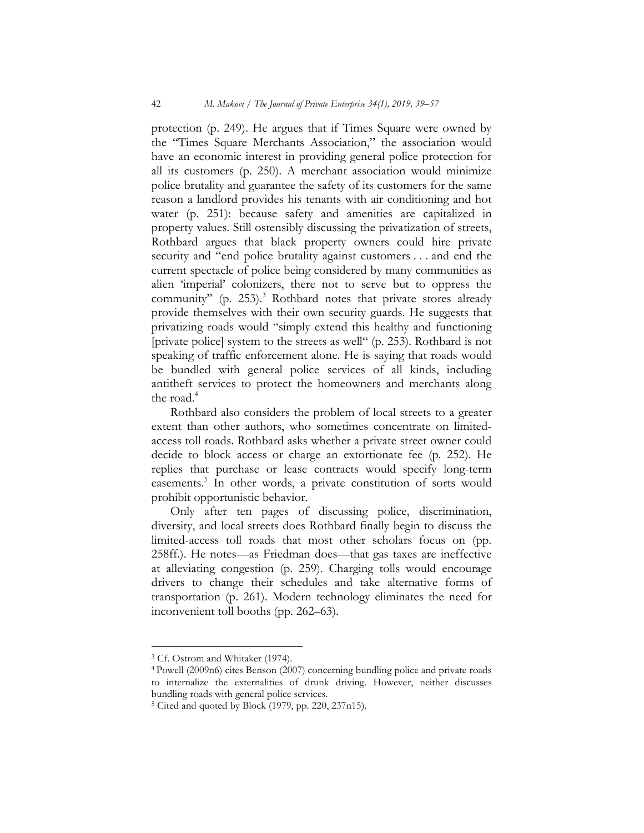protection (p. 249). He argues that if Times Square were owned by the "Times Square Merchants Association," the association would have an economic interest in providing general police protection for all its customers (p. 250). A merchant association would minimize police brutality and guarantee the safety of its customers for the same reason a landlord provides his tenants with air conditioning and hot water (p. 251): because safety and amenities are capitalized in property values. Still ostensibly discussing the privatization of streets, Rothbard argues that black property owners could hire private security and "end police brutality against customers . . . and end the current spectacle of police being considered by many communities as alien 'imperial' colonizers, there not to serve but to oppress the community" (p. 253). $3$  Rothbard notes that private stores already provide themselves with their own security guards. He suggests that privatizing roads would "simply extend this healthy and functioning [private police] system to the streets as well" (p. 253). Rothbard is not speaking of traffic enforcement alone. He is saying that roads would be bundled with general police services of all kinds, including antitheft services to protect the homeowners and merchants along the road. $4$ 

Rothbard also considers the problem of local streets to a greater extent than other authors, who sometimes concentrate on limitedaccess toll roads. Rothbard asks whether a private street owner could decide to block access or charge an extortionate fee (p. 252). He replies that purchase or lease contracts would specify long-term easements.<sup>5</sup> In other words, a private constitution of sorts would prohibit opportunistic behavior.

Only after ten pages of discussing police, discrimination, diversity, and local streets does Rothbard finally begin to discuss the limited-access toll roads that most other scholars focus on (pp. 258ff.). He notes—as Friedman does—that gas taxes are ineffective at alleviating congestion (p. 259). Charging tolls would encourage drivers to change their schedules and take alternative forms of transportation (p. 261). Modern technology eliminates the need for inconvenient toll booths (pp. 262–63).

<sup>3</sup> Cf. Ostrom and Whitaker (1974).

<sup>4</sup>Powell (2009n6) cites Benson (2007) concerning bundling police and private roads to internalize the externalities of drunk driving. However, neither discusses bundling roads with general police services.

<sup>5</sup> Cited and quoted by Block (1979, pp. 220, 237n15).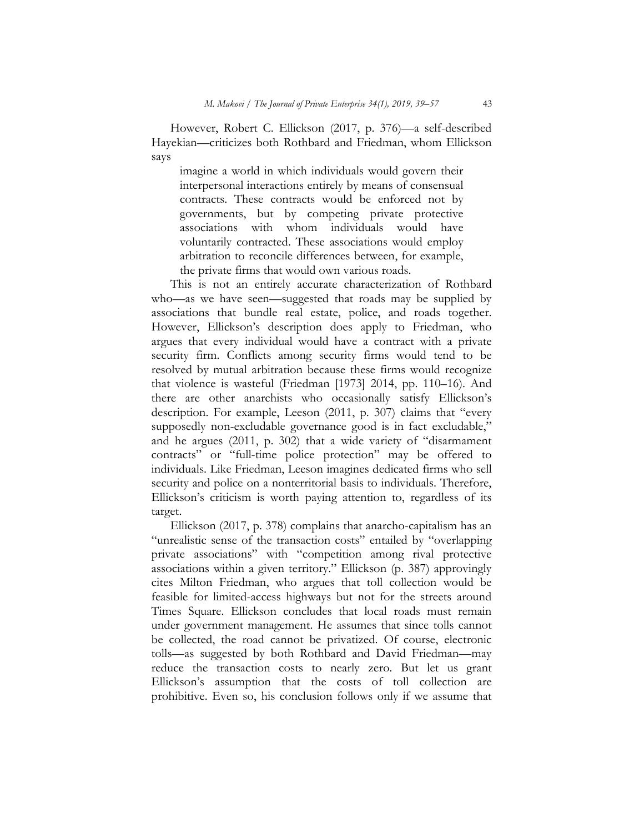However, Robert C. Ellickson (2017, p. 376)—a self-described Hayekian—criticizes both Rothbard and Friedman, whom Ellickson says

imagine a world in which individuals would govern their interpersonal interactions entirely by means of consensual contracts. These contracts would be enforced not by governments, but by competing private protective associations with whom individuals would have voluntarily contracted. These associations would employ arbitration to reconcile differences between, for example, the private firms that would own various roads.

This is not an entirely accurate characterization of Rothbard who—as we have seen—suggested that roads may be supplied by associations that bundle real estate, police, and roads together. However, Ellickson's description does apply to Friedman, who argues that every individual would have a contract with a private security firm. Conflicts among security firms would tend to be resolved by mutual arbitration because these firms would recognize that violence is wasteful (Friedman [1973] 2014, pp. 110–16). And there are other anarchists who occasionally satisfy Ellickson's description. For example, Leeson (2011, p. 307) claims that "every supposedly non-excludable governance good is in fact excludable," and he argues (2011, p. 302) that a wide variety of "disarmament contracts" or "full-time police protection" may be offered to individuals. Like Friedman, Leeson imagines dedicated firms who sell security and police on a nonterritorial basis to individuals. Therefore, Ellickson's criticism is worth paying attention to, regardless of its target.

Ellickson (2017, p. 378) complains that anarcho-capitalism has an "unrealistic sense of the transaction costs" entailed by "overlapping private associations" with "competition among rival protective associations within a given territory." Ellickson (p. 387) approvingly cites Milton Friedman, who argues that toll collection would be feasible for limited-access highways but not for the streets around Times Square. Ellickson concludes that local roads must remain under government management. He assumes that since tolls cannot be collected, the road cannot be privatized. Of course, electronic tolls—as suggested by both Rothbard and David Friedman—may reduce the transaction costs to nearly zero. But let us grant Ellickson's assumption that the costs of toll collection are prohibitive. Even so, his conclusion follows only if we assume that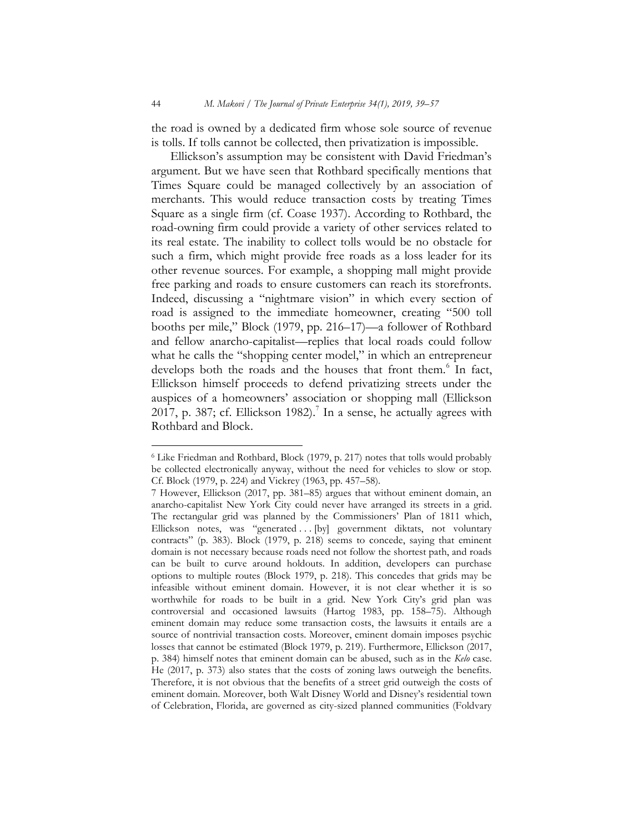the road is owned by a dedicated firm whose sole source of revenue is tolls. If tolls cannot be collected, then privatization is impossible.

Ellickson's assumption may be consistent with David Friedman's argument. But we have seen that Rothbard specifically mentions that Times Square could be managed collectively by an association of merchants. This would reduce transaction costs by treating Times Square as a single firm (cf. Coase 1937). According to Rothbard, the road-owning firm could provide a variety of other services related to its real estate. The inability to collect tolls would be no obstacle for such a firm, which might provide free roads as a loss leader for its other revenue sources. For example, a shopping mall might provide free parking and roads to ensure customers can reach its storefronts. Indeed, discussing a "nightmare vision" in which every section of road is assigned to the immediate homeowner, creating "500 toll booths per mile," Block (1979, pp. 216–17)—a follower of Rothbard and fellow anarcho-capitalist—replies that local roads could follow what he calls the "shopping center model," in which an entrepreneur develops both the roads and the houses that front them.<sup>6</sup> In fact, Ellickson himself proceeds to defend privatizing streets under the auspices of a homeowners' association or shopping mall (Ellickson 2017, p. 387; cf. Ellickson 1982).<sup>7</sup> In a sense, he actually agrees with Rothbard and Block.

 $\overline{a}$ 

<sup>6</sup> Like Friedman and Rothbard, Block (1979, p. 217) notes that tolls would probably be collected electronically anyway, without the need for vehicles to slow or stop. Cf. Block (1979, p. 224) and Vickrey (1963, pp. 457–58).

<sup>7</sup> However, Ellickson (2017, pp. 381–85) argues that without eminent domain, an anarcho-capitalist New York City could never have arranged its streets in a grid. The rectangular grid was planned by the Commissioners' Plan of 1811 which, Ellickson notes, was "generated ... [by] government diktats, not voluntary contracts" (p. 383). Block (1979, p. 218) seems to concede, saying that eminent domain is not necessary because roads need not follow the shortest path, and roads can be built to curve around holdouts. In addition, developers can purchase options to multiple routes (Block 1979, p. 218). This concedes that grids may be infeasible without eminent domain. However, it is not clear whether it is so worthwhile for roads to be built in a grid. New York City's grid plan was controversial and occasioned lawsuits (Hartog 1983, pp. 158–75). Although eminent domain may reduce some transaction costs, the lawsuits it entails are a source of nontrivial transaction costs. Moreover, eminent domain imposes psychic losses that cannot be estimated (Block 1979, p. 219). Furthermore, Ellickson (2017, p. 384) himself notes that eminent domain can be abused, such as in the Kelo case. He (2017, p. 373) also states that the costs of zoning laws outweigh the benefits. Therefore, it is not obvious that the benefits of a street grid outweigh the costs of eminent domain. Moreover, both Walt Disney World and Disney's residential town of Celebration, Florida, are governed as city-sized planned communities (Foldvary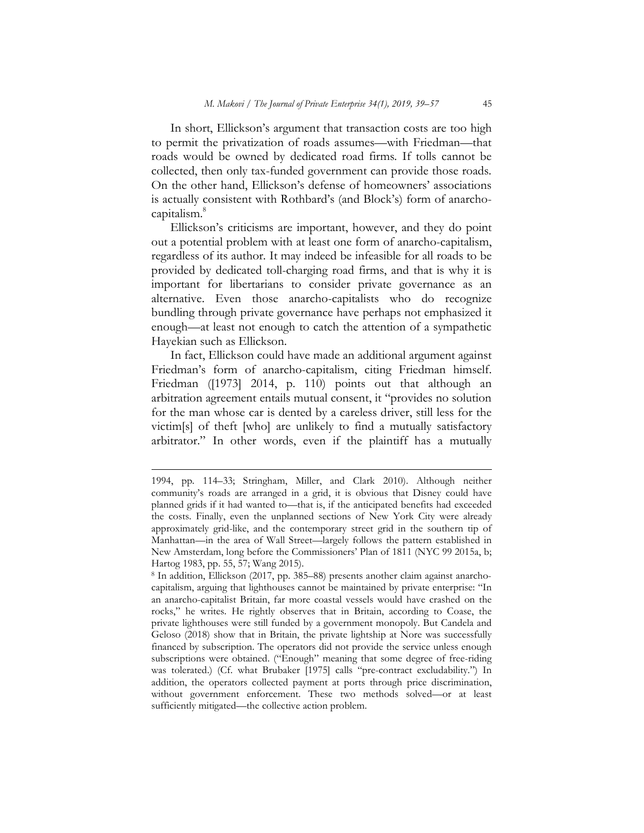In short, Ellickson's argument that transaction costs are too high to permit the privatization of roads assumes—with Friedman—that roads would be owned by dedicated road firms. If tolls cannot be collected, then only tax-funded government can provide those roads. On the other hand, Ellickson's defense of homeowners' associations is actually consistent with Rothbard's (and Block's) form of anarchocapitalism. $^8$ 

Ellickson's criticisms are important, however, and they do point out a potential problem with at least one form of anarcho-capitalism, regardless of its author. It may indeed be infeasible for all roads to be provided by dedicated toll-charging road firms, and that is why it is important for libertarians to consider private governance as an alternative. Even those anarcho-capitalists who do recognize bundling through private governance have perhaps not emphasized it enough—at least not enough to catch the attention of a sympathetic Hayekian such as Ellickson.

In fact, Ellickson could have made an additional argument against Friedman's form of anarcho-capitalism, citing Friedman himself. Friedman ([1973] 2014, p. 110) points out that although an arbitration agreement entails mutual consent, it "provides no solution for the man whose car is dented by a careless driver, still less for the victim[s] of theft [who] are unlikely to find a mutually satisfactory arbitrator." In other words, even if the plaintiff has a mutually

<sup>1994,</sup> pp. 114–33; Stringham, Miller, and Clark 2010). Although neither community's roads are arranged in a grid, it is obvious that Disney could have planned grids if it had wanted to—that is, if the anticipated benefits had exceeded the costs. Finally, even the unplanned sections of New York City were already approximately grid-like, and the contemporary street grid in the southern tip of Manhattan—in the area of Wall Street—largely follows the pattern established in New Amsterdam, long before the Commissioners' Plan of 1811 (NYC 99 2015a, b; Hartog 1983, pp. 55, 57; Wang 2015).

<sup>8</sup> In addition, Ellickson (2017, pp. 385–88) presents another claim against anarchocapitalism, arguing that lighthouses cannot be maintained by private enterprise: "In an anarcho-capitalist Britain, far more coastal vessels would have crashed on the rocks," he writes. He rightly observes that in Britain, according to Coase, the private lighthouses were still funded by a government monopoly. But Candela and Geloso (2018) show that in Britain, the private lightship at Nore was successfully financed by subscription. The operators did not provide the service unless enough subscriptions were obtained. ("Enough" meaning that some degree of free-riding was tolerated.) (Cf. what Brubaker [1975] calls "pre-contract excludability.") In addition, the operators collected payment at ports through price discrimination, without government enforcement. These two methods solved—or at least sufficiently mitigated—the collective action problem.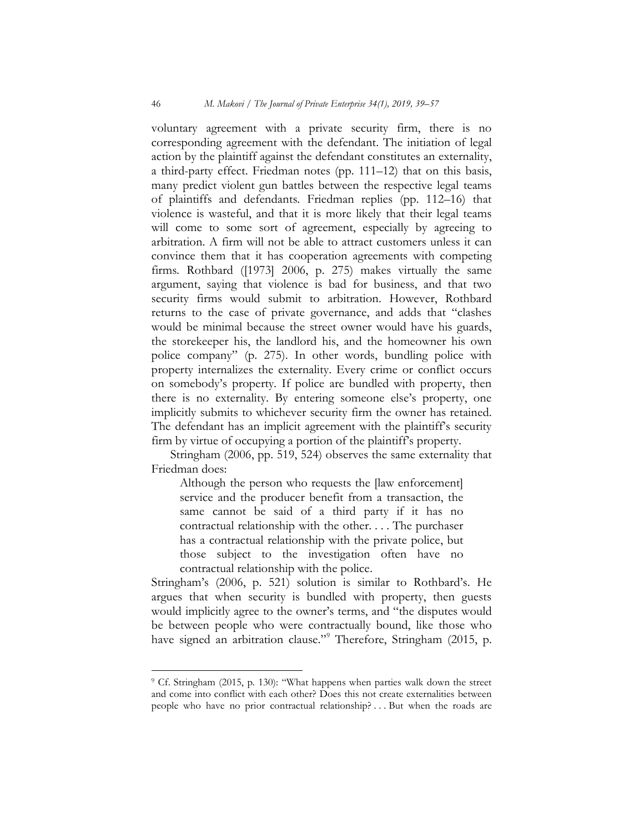voluntary agreement with a private security firm, there is no corresponding agreement with the defendant. The initiation of legal action by the plaintiff against the defendant constitutes an externality, a third-party effect. Friedman notes (pp. 111–12) that on this basis, many predict violent gun battles between the respective legal teams of plaintiffs and defendants. Friedman replies (pp. 112–16) that violence is wasteful, and that it is more likely that their legal teams will come to some sort of agreement, especially by agreeing to arbitration. A firm will not be able to attract customers unless it can convince them that it has cooperation agreements with competing firms. Rothbard ([1973] 2006, p. 275) makes virtually the same argument, saying that violence is bad for business, and that two security firms would submit to arbitration. However, Rothbard returns to the case of private governance, and adds that "clashes would be minimal because the street owner would have his guards, the storekeeper his, the landlord his, and the homeowner his own police company" (p. 275). In other words, bundling police with property internalizes the externality. Every crime or conflict occurs on somebody's property. If police are bundled with property, then there is no externality. By entering someone else's property, one implicitly submits to whichever security firm the owner has retained. The defendant has an implicit agreement with the plaintiff's security firm by virtue of occupying a portion of the plaintiff's property.

Stringham (2006, pp. 519, 524) observes the same externality that Friedman does:

Although the person who requests the [law enforcement] service and the producer benefit from a transaction, the same cannot be said of a third party if it has no contractual relationship with the other. . . . The purchaser has a contractual relationship with the private police, but those subject to the investigation often have no contractual relationship with the police.

Stringham's (2006, p. 521) solution is similar to Rothbard's. He argues that when security is bundled with property, then guests would implicitly agree to the owner's terms, and "the disputes would be between people who were contractually bound, like those who have signed an arbitration clause."<sup>9</sup> Therefore, Stringham (2015, p.

 $\overline{a}$ 

<sup>9</sup> Cf. Stringham (2015, p. 130): "What happens when parties walk down the street and come into conflict with each other? Does this not create externalities between people who have no prior contractual relationship? . . . But when the roads are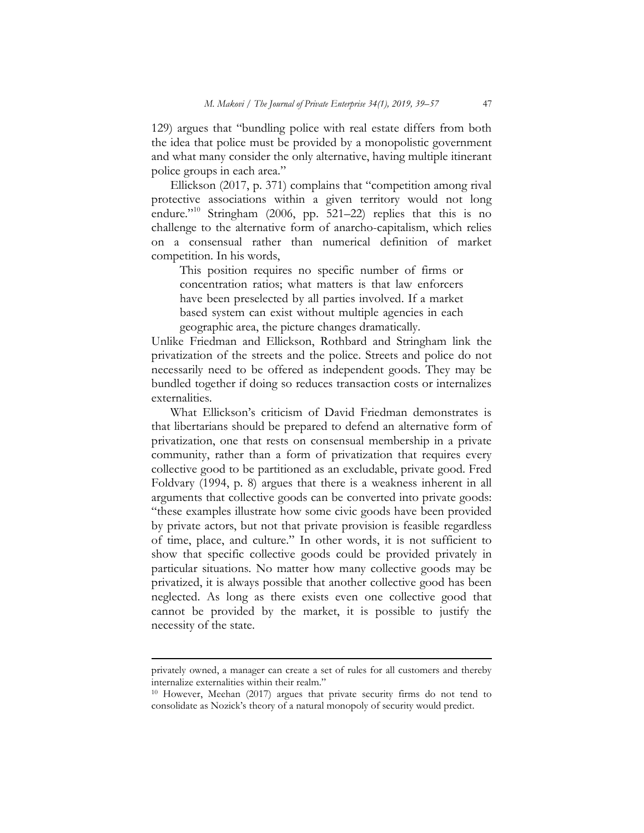129) argues that "bundling police with real estate differs from both the idea that police must be provided by a monopolistic government and what many consider the only alternative, having multiple itinerant police groups in each area."

Ellickson (2017, p. 371) complains that "competition among rival protective associations within a given territory would not long endure."<sup>10</sup> Stringham (2006, pp.  $\frac{6}{5}$ 21–22) replies that this is no challenge to the alternative form of anarcho-capitalism, which relies on a consensual rather than numerical definition of market competition. In his words,

This position requires no specific number of firms or concentration ratios; what matters is that law enforcers have been preselected by all parties involved. If a market based system can exist without multiple agencies in each geographic area, the picture changes dramatically.

Unlike Friedman and Ellickson, Rothbard and Stringham link the privatization of the streets and the police. Streets and police do not necessarily need to be offered as independent goods. They may be bundled together if doing so reduces transaction costs or internalizes externalities.

What Ellickson's criticism of David Friedman demonstrates is that libertarians should be prepared to defend an alternative form of privatization, one that rests on consensual membership in a private community, rather than a form of privatization that requires every collective good to be partitioned as an excludable, private good. Fred Foldvary (1994, p. 8) argues that there is a weakness inherent in all arguments that collective goods can be converted into private goods: "these examples illustrate how some civic goods have been provided by private actors, but not that private provision is feasible regardless of time, place, and culture." In other words, it is not sufficient to show that specific collective goods could be provided privately in particular situations. No matter how many collective goods may be privatized, it is always possible that another collective good has been neglected. As long as there exists even one collective good that cannot be provided by the market, it is possible to justify the necessity of the state.

privately owned, a manager can create a set of rules for all customers and thereby internalize externalities within their realm."

<sup>&</sup>lt;sup>10</sup> However, Meehan (2017) argues that private security firms do not tend to consolidate as Nozick's theory of a natural monopoly of security would predict.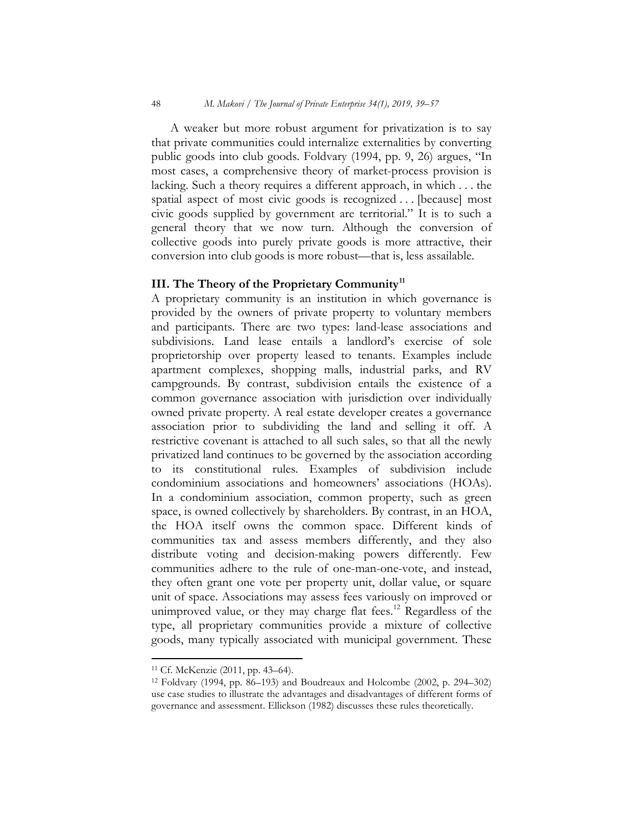A weaker but more robust argument for privatization is to say that private communities could internalize externalities by converting public goods into club goods. Foldvary (1994, pp. 9, 26) argues, "In most cases, a comprehensive theory of market-process provision is lacking. Such a theory requires a different approach, in which . . . the spatial aspect of most civic goods is recognized . . . [because] most civic goods supplied by government are territorial." It is to such a general theory that we now turn. Although the conversion of collective goods into purely private goods is more attractive, their conversion into club goods is more robust—that is, less assailable.

#### III. The Theory of the Proprietary Community<sup>11</sup>

A proprietary community is an institution in which governance is provided by the owners of private property to voluntary members and participants. There are two types: land-lease associations and subdivisions. Land lease entails a landlord's exercise of sole proprietorship over property leased to tenants. Examples include apartment complexes, shopping malls, industrial parks, and RV campgrounds. By contrast, subdivision entails the existence of a common governance association with jurisdiction over individually owned private property. A real estate developer creates a governance association prior to subdividing the land and selling it off. A restrictive covenant is attached to all such sales, so that all the newly privatized land continues to be governed by the association according to its constitutional rules. Examples of subdivision include condominium associations and homeowners' associations (HOAs). In a condominium association, common property, such as green space, is owned collectively by shareholders. By contrast, in an HOA, the HOA itself owns the common space. Different kinds of communities tax and assess members differently, and they also distribute voting and decision-making powers differently. Few communities adhere to the rule of one-man-one-vote, and instead, they often grant one vote per property unit, dollar value, or square unit of space. Associations may assess fees variously on improved or unimproved value, or they may charge flat fees.<sup>12</sup> Regardless of the type, all proprietary communities provide a mixture of collective goods, many typically associated with municipal government. These

<sup>11</sup> Cf. McKenzie (2011, pp. 43–64).

<sup>12</sup> Foldvary (1994, pp. 86–193) and Boudreaux and Holcombe (2002, p. 294–302) use case studies to illustrate the advantages and disadvantages of different forms of governance and assessment. Ellickson (1982) discusses these rules theoretically.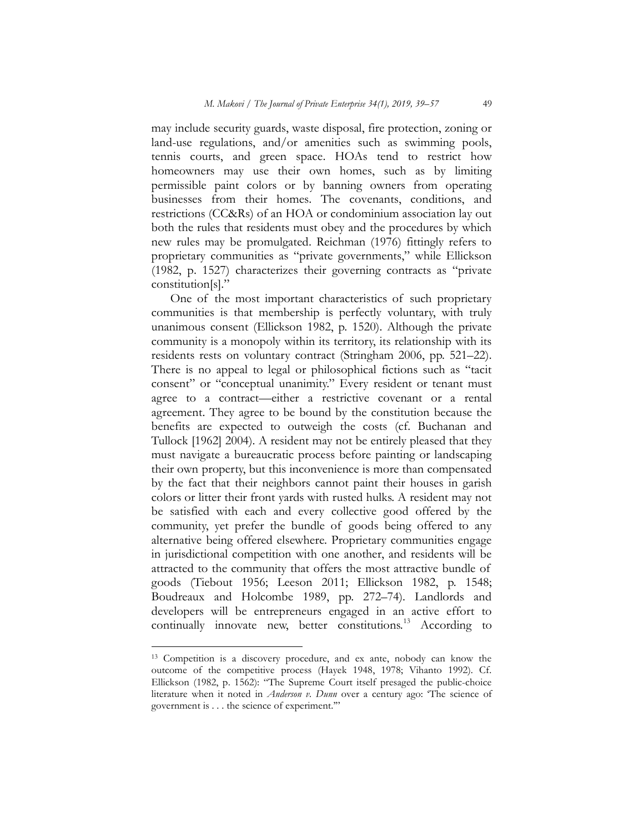may include security guards, waste disposal, fire protection, zoning or land-use regulations, and/or amenities such as swimming pools, tennis courts, and green space. HOAs tend to restrict how homeowners may use their own homes, such as by limiting permissible paint colors or by banning owners from operating businesses from their homes. The covenants, conditions, and restrictions (CC&Rs) of an HOA or condominium association lay out both the rules that residents must obey and the procedures by which new rules may be promulgated. Reichman (1976) fittingly refers to proprietary communities as "private governments," while Ellickson (1982, p. 1527) characterizes their governing contracts as "private constitution[s]."

One of the most important characteristics of such proprietary communities is that membership is perfectly voluntary, with truly unanimous consent (Ellickson 1982, p. 1520). Although the private community is a monopoly within its territory, its relationship with its residents rests on voluntary contract (Stringham 2006, pp. 521–22). There is no appeal to legal or philosophical fictions such as "tacit consent" or "conceptual unanimity." Every resident or tenant must agree to a contract—either a restrictive covenant or a rental agreement. They agree to be bound by the constitution because the benefits are expected to outweigh the costs (cf. Buchanan and Tullock [1962] 2004). A resident may not be entirely pleased that they must navigate a bureaucratic process before painting or landscaping their own property, but this inconvenience is more than compensated by the fact that their neighbors cannot paint their houses in garish colors or litter their front yards with rusted hulks. A resident may not be satisfied with each and every collective good offered by the community, yet prefer the bundle of goods being offered to any alternative being offered elsewhere. Proprietary communities engage in jurisdictional competition with one another, and residents will be attracted to the community that offers the most attractive bundle of goods (Tiebout 1956; Leeson 2011; Ellickson 1982, p. 1548; Boudreaux and Holcombe 1989, pp. 272–74). Landlords and developers will be entrepreneurs engaged in an active effort to continually innovate new, better constitutions.<sup>13</sup> According to

<sup>13</sup> Competition is a discovery procedure, and ex ante, nobody can know the outcome of the competitive process (Hayek 1948, 1978; Vihanto 1992). Cf. Ellickson (1982, p. 1562): "The Supreme Court itself presaged the public-choice literature when it noted in Anderson v. Dunn over a century ago: 'The science of government is . . . the science of experiment.'"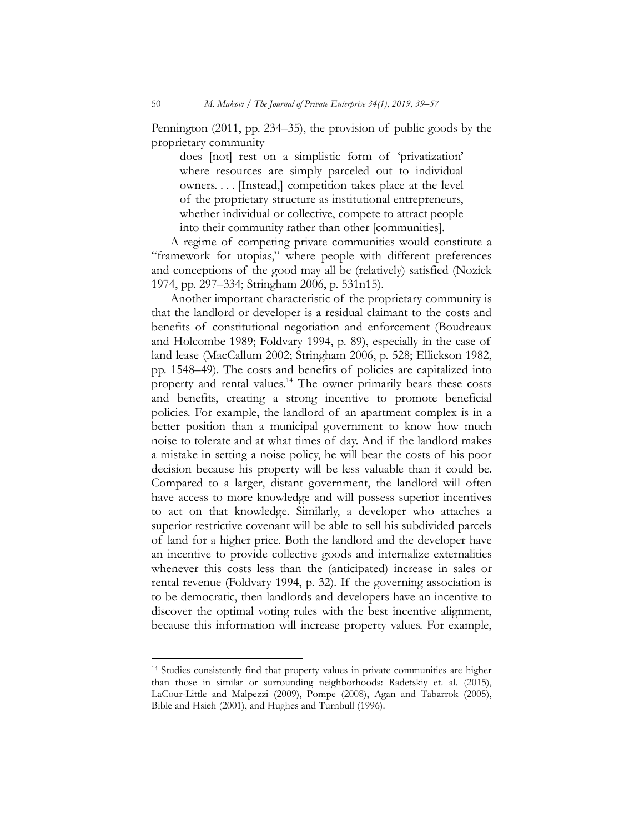Pennington (2011, pp. 234–35), the provision of public goods by the proprietary community

does [not] rest on a simplistic form of 'privatization' where resources are simply parceled out to individual owners. . . . [Instead,] competition takes place at the level of the proprietary structure as institutional entrepreneurs, whether individual or collective, compete to attract people into their community rather than other [communities].

A regime of competing private communities would constitute a "framework for utopias," where people with different preferences and conceptions of the good may all be (relatively) satisfied (Nozick 1974, pp. 297–334; Stringham 2006, p. 531n15).

Another important characteristic of the proprietary community is that the landlord or developer is a residual claimant to the costs and benefits of constitutional negotiation and enforcement (Boudreaux and Holcombe 1989; Foldvary 1994, p. 89), especially in the case of land lease (MacCallum 2002; Stringham 2006, p. 528; Ellickson 1982, pp. 1548–49). The costs and benefits of policies are capitalized into property and rental values.<sup>14</sup> The owner primarily bears these costs and benefits, creating a strong incentive to promote beneficial policies. For example, the landlord of an apartment complex is in a better position than a municipal government to know how much noise to tolerate and at what times of day. And if the landlord makes a mistake in setting a noise policy, he will bear the costs of his poor decision because his property will be less valuable than it could be. Compared to a larger, distant government, the landlord will often have access to more knowledge and will possess superior incentives to act on that knowledge. Similarly, a developer who attaches a superior restrictive covenant will be able to sell his subdivided parcels of land for a higher price. Both the landlord and the developer have an incentive to provide collective goods and internalize externalities whenever this costs less than the (anticipated) increase in sales or rental revenue (Foldvary 1994, p. 32). If the governing association is to be democratic, then landlords and developers have an incentive to discover the optimal voting rules with the best incentive alignment, because this information will increase property values. For example,

<sup>14</sup> Studies consistently find that property values in private communities are higher than those in similar or surrounding neighborhoods: Radetskiy et. al. (2015), LaCour-Little and Malpezzi (2009), Pompe (2008), Agan and Tabarrok (2005), Bible and Hsieh (2001), and Hughes and Turnbull (1996).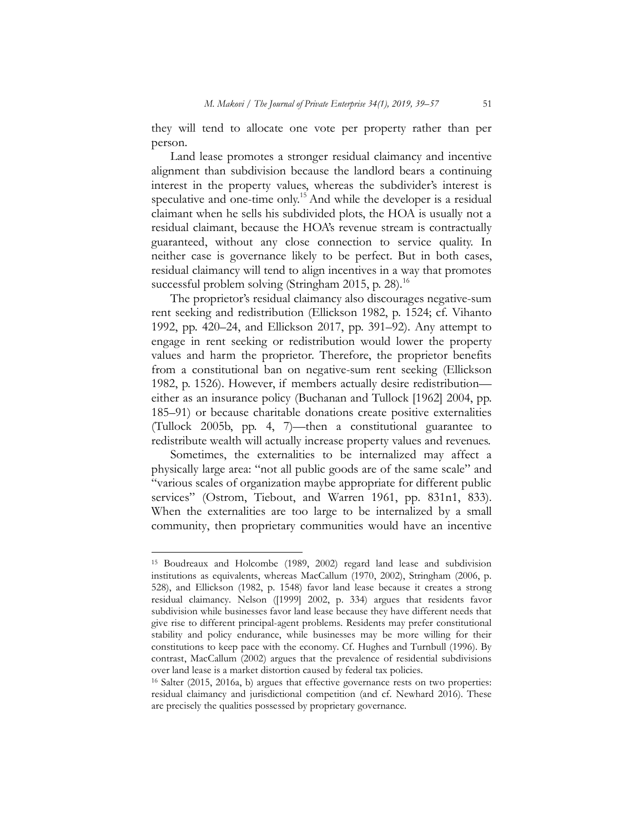they will tend to allocate one vote per property rather than per person.

Land lease promotes a stronger residual claimancy and incentive alignment than subdivision because the landlord bears a continuing interest in the property values, whereas the subdivider's interest is speculative and one-time only.<sup>15</sup> And while the developer is a residual claimant when he sells his subdivided plots, the HOA is usually not a residual claimant, because the HOA's revenue stream is contractually guaranteed, without any close connection to service quality. In neither case is governance likely to be perfect. But in both cases, residual claimancy will tend to align incentives in a way that promotes successful problem solving (Stringham 2015, p. 28).<sup>16</sup>

The proprietor's residual claimancy also discourages negative-sum rent seeking and redistribution (Ellickson 1982, p. 1524; cf. Vihanto 1992, pp. 420–24, and Ellickson 2017, pp. 391–92). Any attempt to engage in rent seeking or redistribution would lower the property values and harm the proprietor. Therefore, the proprietor benefits from a constitutional ban on negative-sum rent seeking (Ellickson 1982, p. 1526). However, if members actually desire redistribution either as an insurance policy (Buchanan and Tullock [1962] 2004, pp. 185–91) or because charitable donations create positive externalities (Tullock 2005b, pp. 4, 7)—then a constitutional guarantee to redistribute wealth will actually increase property values and revenues.

Sometimes, the externalities to be internalized may affect a physically large area: "not all public goods are of the same scale" and "various scales of organization maybe appropriate for different public services" (Ostrom, Tiebout, and Warren 1961, pp. 831n1, 833). When the externalities are too large to be internalized by a small community, then proprietary communities would have an incentive

<sup>15</sup> Boudreaux and Holcombe (1989, 2002) regard land lease and subdivision institutions as equivalents, whereas MacCallum (1970, 2002), Stringham (2006, p. 528), and Ellickson (1982, p. 1548) favor land lease because it creates a strong residual claimancy. Nelson ([1999] 2002, p. 334) argues that residents favor subdivision while businesses favor land lease because they have different needs that give rise to different principal-agent problems. Residents may prefer constitutional stability and policy endurance, while businesses may be more willing for their constitutions to keep pace with the economy. Cf. Hughes and Turnbull (1996). By contrast, MacCallum (2002) argues that the prevalence of residential subdivisions over land lease is a market distortion caused by federal tax policies.

<sup>16</sup> Salter (2015, 2016a, b) argues that effective governance rests on two properties: residual claimancy and jurisdictional competition (and cf. Newhard 2016). These are precisely the qualities possessed by proprietary governance.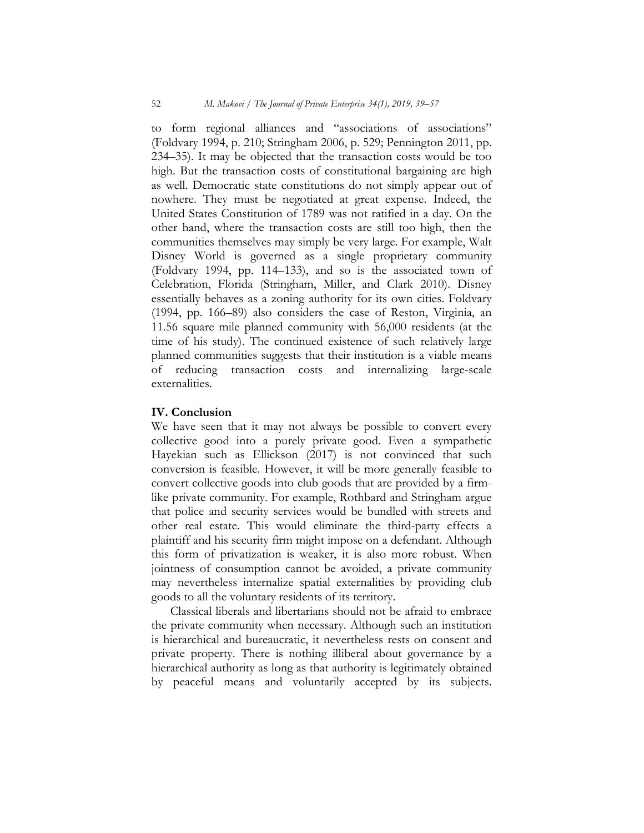to form regional alliances and "associations of associations" (Foldvary 1994, p. 210; Stringham 2006, p. 529; Pennington 2011, pp. 234–35). It may be objected that the transaction costs would be too high. But the transaction costs of constitutional bargaining are high as well. Democratic state constitutions do not simply appear out of nowhere. They must be negotiated at great expense. Indeed, the United States Constitution of 1789 was not ratified in a day. On the other hand, where the transaction costs are still too high, then the communities themselves may simply be very large. For example, Walt Disney World is governed as a single proprietary community (Foldvary 1994, pp. 114–133), and so is the associated town of Celebration, Florida (Stringham, Miller, and Clark 2010). Disney essentially behaves as a zoning authority for its own cities. Foldvary (1994, pp. 166–89) also considers the case of Reston, Virginia, an 11.56 square mile planned community with 56,000 residents (at the time of his study). The continued existence of such relatively large planned communities suggests that their institution is a viable means<br>of reducing transaction costs and internalizing large-scale  $\overline{\text{of}}$  reducing transaction costs externalities.

## IV. Conclusion

We have seen that it may not always be possible to convert every collective good into a purely private good. Even a sympathetic Hayekian such as Ellickson (2017) is not convinced that such conversion is feasible. However, it will be more generally feasible to convert collective goods into club goods that are provided by a firmlike private community. For example, Rothbard and Stringham argue that police and security services would be bundled with streets and other real estate. This would eliminate the third-party effects a plaintiff and his security firm might impose on a defendant. Although this form of privatization is weaker, it is also more robust. When jointness of consumption cannot be avoided, a private community may nevertheless internalize spatial externalities by providing club goods to all the voluntary residents of its territory.

Classical liberals and libertarians should not be afraid to embrace the private community when necessary. Although such an institution is hierarchical and bureaucratic, it nevertheless rests on consent and private property. There is nothing illiberal about governance by a hierarchical authority as long as that authority is legitimately obtained by peaceful means and voluntarily accepted by its subjects.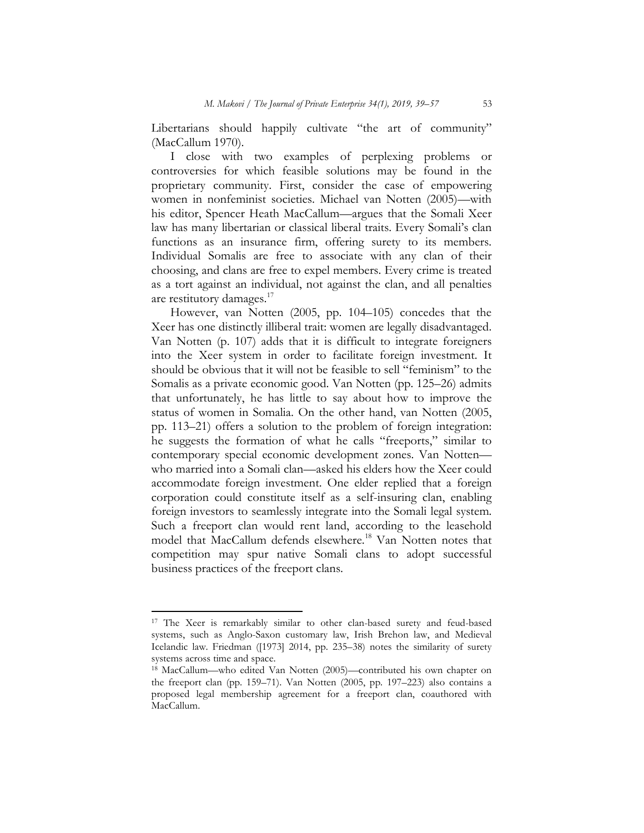Libertarians should happily cultivate "the art of community" (MacCallum 1970).

I close with two examples of perplexing problems or controversies for which feasible solutions may be found in the proprietary community. First, consider the case of empowering women in nonfeminist societies. Michael van Notten (2005)—with his editor, Spencer Heath MacCallum—argues that the Somali Xeer law has many libertarian or classical liberal traits. Every Somali's clan functions as an insurance firm, offering surety to its members. Individual Somalis are free to associate with any clan of their choosing, and clans are free to expel members. Every crime is treated as a tort against an individual, not against the clan, and all penalties are restitutory damages.<sup>17</sup>

However, van Notten (2005, pp. 104–105) concedes that the Xeer has one distinctly illiberal trait: women are legally disadvantaged. Van Notten (p. 107) adds that it is difficult to integrate foreigners into the Xeer system in order to facilitate foreign investment. It should be obvious that it will not be feasible to sell "feminism" to the Somalis as a private economic good. Van Notten (pp. 125–26) admits that unfortunately, he has little to say about how to improve the status of women in Somalia. On the other hand, van Notten (2005, pp. 113–21) offers a solution to the problem of foreign integration: he suggests the formation of what he calls "freeports," similar to contemporary special economic development zones. Van Notten who married into a Somali clan—asked his elders how the Xeer could accommodate foreign investment. One elder replied that a foreign corporation could constitute itself as a self-insuring clan, enabling foreign investors to seamlessly integrate into the Somali legal system. Such a freeport clan would rent land, according to the leasehold model that MacCallum defends elsewhere.<sup>18</sup> Van Notten notes that competition may spur native Somali clans to adopt successful business practices of the freeport clans.

<sup>&</sup>lt;sup>17</sup> The Xeer is remarkably similar to other clan-based surety and feud-based systems, such as Anglo-Saxon customary law, Irish Brehon law, and Medieval Icelandic law. Friedman ([1973] 2014, pp. 235–38) notes the similarity of surety systems across time and space.

<sup>&</sup>lt;sup>18</sup> MacCallum—who edited Van Notten (2005)—contributed his own chapter on the freeport clan (pp. 159–71). Van Notten (2005, pp. 197–223) also contains a proposed legal membership agreement for a freeport clan, coauthored with MacCallum.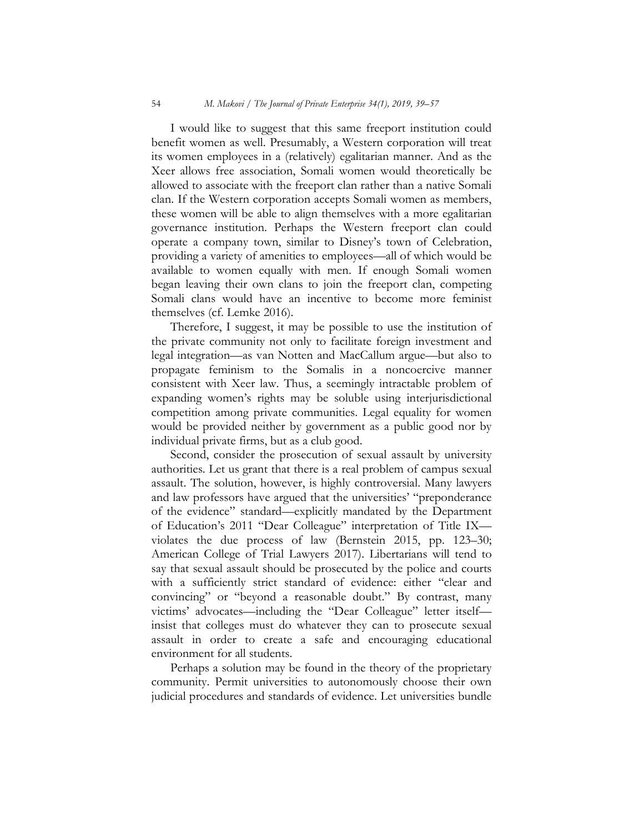I would like to suggest that this same freeport institution could benefit women as well. Presumably, a Western corporation will treat its women employees in a (relatively) egalitarian manner. And as the Xeer allows free association, Somali women would theoretically be allowed to associate with the freeport clan rather than a native Somali clan. If the Western corporation accepts Somali women as members, these women will be able to align themselves with a more egalitarian governance institution. Perhaps the Western freeport clan could operate a company town, similar to Disney's town of Celebration, providing a variety of amenities to employees—all of which would be available to women equally with men. If enough Somali women began leaving their own clans to join the freeport clan, competing Somali clans would have an incentive to become more feminist themselves (cf. Lemke 2016).

Therefore, I suggest, it may be possible to use the institution of the private community not only to facilitate foreign investment and legal integration—as van Notten and MacCallum argue—but also to propagate feminism to the Somalis in a noncoercive manner consistent with Xeer law. Thus, a seemingly intractable problem of expanding women's rights may be soluble using interjurisdictional competition among private communities. Legal equality for women would be provided neither by government as a public good nor by individual private firms, but as a club good.

Second, consider the prosecution of sexual assault by university authorities. Let us grant that there is a real problem of campus sexual assault. The solution, however, is highly controversial. Many lawyers and law professors have argued that the universities' "preponderance of the evidence" standard—explicitly mandated by the Department of Education's 2011 "Dear Colleague" interpretation of Title IX violates the due process of law (Bernstein 2015, pp. 123–30; American College of Trial Lawyers 2017). Libertarians will tend to say that sexual assault should be prosecuted by the police and courts with a sufficiently strict standard of evidence: either "clear and convincing" or "beyond a reasonable doubt." By contrast, many victims' advocates—including the "Dear Colleague" letter itself insist that colleges must do whatever they can to prosecute sexual assault in order to create a safe and encouraging educational environment for all students.

Perhaps a solution may be found in the theory of the proprietary community. Permit universities to autonomously choose their own judicial procedures and standards of evidence. Let universities bundle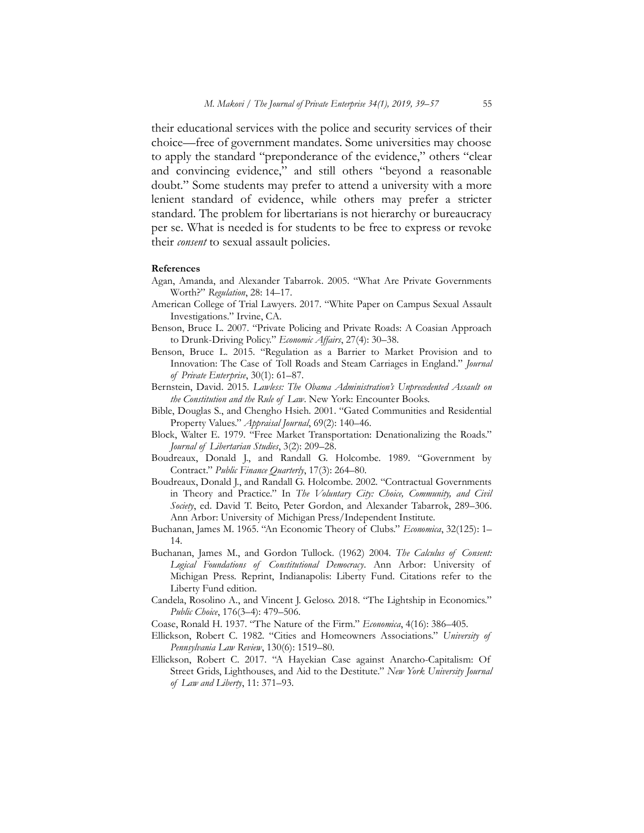their educational services with the police and security services of their choice—free of government mandates. Some universities may choose to apply the standard "preponderance of the evidence," others "clear and convincing evidence," and still others "beyond a reasonable doubt." Some students may prefer to attend a university with a more lenient standard of evidence, while others may prefer a stricter standard. The problem for libertarians is not hierarchy or bureaucracy per se. What is needed is for students to be free to express or revoke their *consent* to sexual assault policies.

#### References

- Agan, Amanda, and Alexander Tabarrok. 2005. "What Are Private Governments Worth?" Regulation, 28: 14–17.
- American College of Trial Lawyers. 2017. "White Paper on Campus Sexual Assault Investigations." Irvine, CA.
- Benson, Bruce L. 2007. "Private Policing and Private Roads: A Coasian Approach to Drunk-Driving Policy." Economic Affairs, 27(4): 30-38.
- Benson, Bruce L. 2015. "Regulation as a Barrier to Market Provision and to Innovation: The Case of Toll Roads and Steam Carriages in England." Journal of Private Enterprise, 30(1): 61–87.
- Bernstein, David. 2015. Lawless: The Obama Administration's Unprecedented Assault on the Constitution and the Rule of Law. New York: Encounter Books.
- Bible, Douglas S., and Chengho Hsieh. 2001. "Gated Communities and Residential Property Values." Appraisal Journal, 69(2): 140-46.
- Block, Walter E. 1979. "Free Market Transportation: Denationalizing the Roads." Journal of Libertarian Studies, 3(2): 209–28.
- Boudreaux, Donald J., and Randall G. Holcombe. 1989. "Government by Contract." Public Finance Quarterly, 17(3): 264-80.
- Boudreaux, Donald J., and Randall G. Holcombe. 2002. "Contractual Governments in Theory and Practice." In The Voluntary City: Choice, Community, and Civil Society, ed. David T. Beito, Peter Gordon, and Alexander Tabarrok, 289-306. Ann Arbor: University of Michigan Press/Independent Institute.
- Buchanan, James M. 1965. "An Economic Theory of Clubs." Economica, 32(125): 1-14.
- Buchanan, James M., and Gordon Tullock. (1962) 2004. The Calculus of Consent: Logical Foundations of Constitutional Democracy. Ann Arbor: University of Michigan Press. Reprint, Indianapolis: Liberty Fund. Citations refer to the Liberty Fund edition.
- Candela, Rosolino A., and Vincent J. Geloso. 2018. "The Lightship in Economics." Public Choice, 176(3–4): 479–506.
- Coase, Ronald H. 1937. "The Nature of the Firm." Economica, 4(16): 386–405.
- Ellickson, Robert C. 1982. "Cities and Homeowners Associations." University of Pennsylvania Law Review, 130(6): 1519–80.
- Ellickson, Robert C. 2017. "A Hayekian Case against Anarcho-Capitalism: Of Street Grids, Lighthouses, and Aid to the Destitute." New York University Journal of Law and Liberty, 11: 371–93.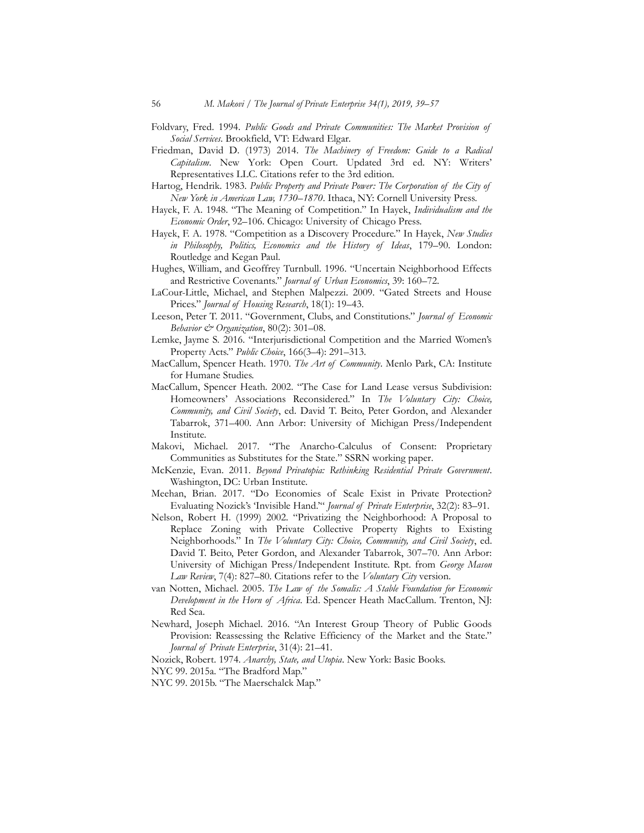- Foldvary, Fred. 1994. Public Goods and Private Communities: The Market Provision of Social Services. Brookfield, VT: Edward Elgar.
- Friedman, David D. (1973) 2014. The Machinery of Freedom: Guide to a Radical Capitalism. New York: Open Court. Updated 3rd ed. NY: Writers' Representatives LLC. Citations refer to the 3rd edition.
- Hartog, Hendrik. 1983. Public Property and Private Power: The Corporation of the City of New York in American Law, 1730–1870. Ithaca, NY: Cornell University Press.
- Hayek, F. A. 1948. "The Meaning of Competition." In Hayek, Individualism and the Economic Order, 92–106. Chicago: University of Chicago Press.
- Hayek, F. A. 1978. "Competition as a Discovery Procedure." In Hayek, New Studies in Philosophy, Politics, Economics and the History of Ideas, 179–90. London: Routledge and Kegan Paul.
- Hughes, William, and Geoffrey Turnbull. 1996. "Uncertain Neighborhood Effects and Restrictive Covenants." Journal of Urban Economics, 39: 160-72.
- LaCour-Little, Michael, and Stephen Malpezzi. 2009. "Gated Streets and House Prices." Journal of Housing Research, 18(1): 19-43.
- Leeson, Peter T. 2011. "Government, Clubs, and Constitutions." Journal of Economic Behavior  $\mathcal{E}$  Organization, 80(2): 301-08.
- Lemke, Jayme S. 2016. "Interjurisdictional Competition and the Married Women's Property Acts." Public Choice, 166(3-4): 291-313.
- MacCallum, Spencer Heath. 1970. The Art of Community. Menlo Park, CA: Institute for Humane Studies.
- MacCallum, Spencer Heath. 2002. "The Case for Land Lease versus Subdivision: Homeowners' Associations Reconsidered." In The Voluntary City: Choice, Community, and Civil Society, ed. David T. Beito, Peter Gordon, and Alexander Tabarrok, 371–400. Ann Arbor: University of Michigan Press/Independent Institute.
- Makovi, Michael. 2017. "The Anarcho-Calculus of Consent: Proprietary Communities as Substitutes for the State." SSRN working paper.
- McKenzie, Evan. 2011. Beyond Privatopia: Rethinking Residential Private Government. Washington, DC: Urban Institute.
- Meehan, Brian. 2017. "Do Economies of Scale Exist in Private Protection? Evaluating Nozick's 'Invisible Hand.'" Journal of Private Enterprise, 32(2): 83–91.
- Nelson, Robert H. (1999) 2002. "Privatizing the Neighborhood: A Proposal to Replace Zoning with Private Collective Property Rights to Existing Neighborhoods." In The Voluntary City: Choice, Community, and Civil Society, ed. David T. Beito, Peter Gordon, and Alexander Tabarrok, 307–70. Ann Arbor: University of Michigan Press/Independent Institute. Rpt. from George Mason Law Review, 7(4): 827–80. Citations refer to the Voluntary City version.
- van Notten, Michael. 2005. The Law of the Somalis: A Stable Foundation for Economic Development in the Horn of Africa. Ed. Spencer Heath MacCallum. Trenton, NJ: Red Sea.
- Newhard, Joseph Michael. 2016. "An Interest Group Theory of Public Goods Provision: Reassessing the Relative Efficiency of the Market and the State." Journal of Private Enterprise, 31(4): 21–41.

Nozick, Robert. 1974. Anarchy, State, and Utopia. New York: Basic Books.

- NYC 99. 2015a. "The Bradford Map."
- NYC 99. 2015b. "The Maerschalck Map."